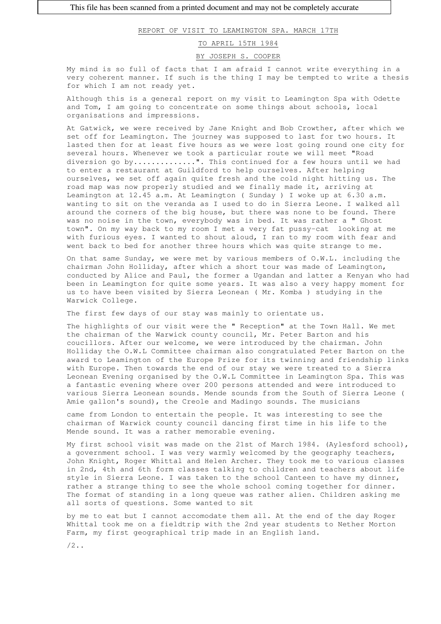REPORT OF VISIT TO LEAMINGTON SPA. MARCH 17TH

## TO APRIL 15TH 1984

## BY JOSEPH S. COOPER

My mind is so full of facts that I am afraid I cannot write everything in a very coherent manner. If such is the thing I may be tempted to write a thesis for which I am not ready yet.

Although this is a general report on my visit to Leamington Spa with Odette and Tom, I am going to concentrate on some things about schools, local organisations and impressions.

At Gatwick, we were received by Jane Knight and Bob Crowther, after which we set off for Leamington. The journey was supposed to last for two hours. It lasted then for at least five hours as we were lost going round one city for several hours. Whenever we took a particular route we will meet "Road diversion go by..............". This continued for a few hours until we had to enter a restaurant at Guildford to help ourselves. After helping ourselves, we set off again quite fresh and the cold night hitting us. The road map was now properly studied and we finally made it, arriving at Leamington at 12.45 a.m. At Leamington ( Sunday ) I woke up at 6.30 a.m. wanting to sit on the veranda as I used to do in Sierra Leone. I walked all around the corners of the big house, but there was none to be found. There was no noise in the town, everybody was in bed. It was rather a " Ghost town". On my way back to my room I met a very fat pussy-cat looking at me with furious eyes. I wanted to shout aloud, I ran to my room with fear and went back to bed for another three hours which was quite strange to me.

On that same Sunday, we were met by various members of O.W.L. including the chairman John Holliday, after which a short tour was made of Leamington, conducted by Alice and Paul, the former a Ugandan and latter a Kenyan who had been in Leamington for quite some years. It was also a very happy moment for us to have been visited by Sierra Leonean ( Mr. Komba ) studying in the Warwick College.

The first few days of our stay was mainly to orientate us.

The highlights of our visit were the " Reception" at the Town Hall. We met the chairman of the Warwick county council, Mr. Peter Barton and his coucillors. After our welcome, we were introduced by the chairman. John Holliday the O.W.L Committee chairman also congratulated Peter Barton on the award to Leamington of the Europe Prize for its twinning and friendship links with Europe. Then towards the end of our stay we were treated to a Sierra Leonean Evening organised by the O.W.L Committee in Leamington Spa. This was a fantastic evening where over 200 persons attended and were introduced to various Sierra Leonean sounds. Mende sounds from the South of Sierra Leone ( Amie gallon's sound), the Creole and Madingo sounds. The musicians

came from London to entertain the people. It was interesting to see the chairman of Warwick county council dancing first time in his life to the Mende sound. It was a rather memorable evening.

My first school visit was made on the 21st of March 1984. (Aylesford school), a government school. I was very warmly welcomed by the geography teachers, John Knight, Roger Whittal and Helen Archer. They took me to various classes in 2nd, 4th and 6th form classes talking to children and teachers about life style in Sierra Leone. I was taken to the school Canteen to have my dinner, rather a strange thing to see the whole school coming together for dinner. The format of standing in a long queue was rather alien. Children asking me all sorts of questions. Some wanted to sit

by me to eat but I cannot accomodate them all. At the end of the day Roger Whittal took me on a fieldtrip with the 2nd year students to Nether Morton Farm, my first geographical trip made in an English land.

 $/2$ ..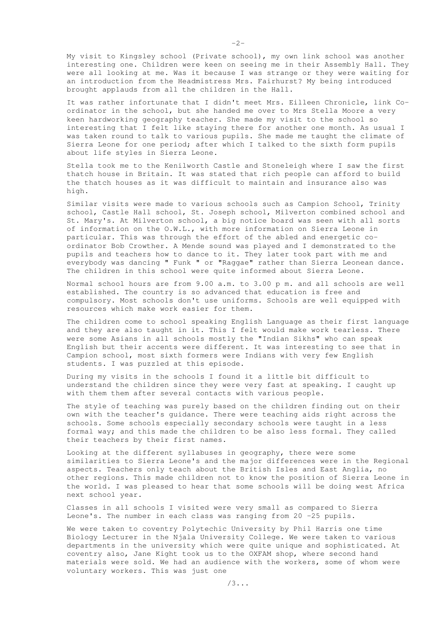My visit to Kingsley school (Private school), my own link school was another interesting one. Children were keen on seeing me in their Assembly Hall. They were all looking at me. Was it because I was strange or they were waiting for an introduction from the Headmistress Mrs. Fairhurst? My being introduced brought applauds from all the children in the Hall.

It was rather infortunate that I didn't meet Mrs. Eilleen Chronicle, link Coordinator in the school, but she handed me over to Mrs Stella Moore a very keen hardworking geography teacher. She made my visit to the school so interesting that I felt like staying there for another one month. As usual I was taken round to talk to various pupils. She made me taught the climate of Sierra Leone for one period; after which I talked to the sixth form pupils about life styles in Sierra Leone.

Stella took me to the Kenilworth Castle and Stoneleigh where I saw the first thatch house in Britain. It was stated that rich people can afford to build the thatch houses as it was difficult to maintain and insurance also was high.

Similar visits were made to various schools such as Campion School, Trinity school, Castle Hall school, St. Joseph school, Milverton combined school and St. Mary's. At Milverton school, a big notice board was seen with all sorts of information on the O.W.L., with more information on Sierra Leone in particular. This was through the effort of the abled and energetic coordinator Bob Crowther. A Mende sound was played and I demonstrated to the pupils and teachers how to dance to it. They later took part with me and everybody was dancing " Funk " or "Raggae" rather than Sierra Leonean dance. The children in this school were quite informed about Sierra Leone.

Normal school hours are from 9.00 a.m. to 3.00 p m. and all schools are well established. The country is so advanced that education is free and compulsory. Most schools don't use uniforms. Schools are well equipped with resources which make work easier for them.

The children come to school speaking English Language as their first language and they are also taught in it. This I felt would make work tearless. There were some Asians in all schools mostly the "Indian Sikhs" who can speak English but their accents were different. It was interesting to see that in Campion school, most sixth formers were Indians with very few English students. I was puzzled at this episode.

During my visits in the schools I found it a little bit difficult to understand the children since they were very fast at speaking. I caught up with them them after several contacts with various people.

The style of teaching was purely based on the children finding out on their own with the teacher's guidance. There were teaching aids right across the schools. Some schools especially secondary schools were taught in a less formal way; and this made the children to be also less formal. They called their teachers by their first names.

Looking at the different syllabuses in geography, there were some similarities to Sierra Leone's and the major differences were in the Regional aspects. Teachers only teach about the British Isles and East Anglia, no other regions. This made children not to know the position of Sierra Leone in the world. I was pleased to hear that some schools will be doing west Africa next school year.

Classes in all schools I visited were very small as compared to Sierra Leone's. The number in each class was ranging from 20 -25 pupils.

We were taken to coventry Polytechic University by Phil Harris one time Biology Lecturer in the Njala University College. We were taken to various departments in the university which were quite unique and sophisticated. At coventry also, Jane Kight took us to the OXFAM shop, where second hand materials were sold. We had an audience with the workers, some of whom were voluntary workers. This was just one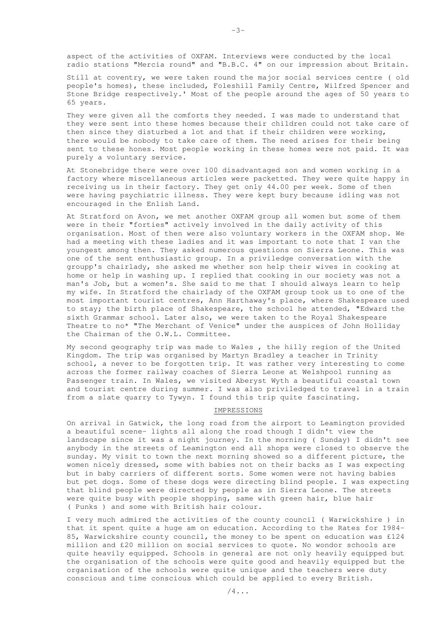aspect of the activities of OXFAM. Interviews were conducted by the local radio stations "Mercia round" and "B.B.C. 4" on our impression about Britain.

Still at coventry, we were taken round the major social services centre ( old people's homes), these included, Foleshill Family Centre, Wilfred Spencer and Stone Bridge respectively.' Most of the people around the ages of 50 years to 65 years.

They were given all the comforts they needed. I was made to understand that they were sent into these homes because their children could not take care of then since they disturbed a lot and that if their children were working, there would be nobody to take care of them. The need arises for their being sent to these hones. Most people working in these homes were not paid. It was purely a voluntary service.

At Stonebridge there were over 100 disadvantaged son and women working in a factory where miscellaneous articles were packetted. They were quite happy in receiving us in their factory. They get only 44.00 per week. Some of then were having psychiatric illness. They were kept bury because idling was not encouraged in the Enlish Land.

At Stratford on Avon, we met another OXFAM group all women but some of them were in their "forties" actively involved in the daily activity of this organisation. Most of then were also voluntary workers in the OXFAM shop. We had a meeting with these ladies and it was important to note that I van the youngest among then. They asked numerous questions on Sierra Leone. This was one of the sent enthusiastic group. In a priviledge conversation with the groupp's chairlady, she asked me whether son help their wives in cooking at home or help in washing up. I replied that cooking in our society was not a man's Job, but a women's. She said to me that I should always learn to help my wife. In Stratford the chairlady of the OXFAM group took us to one of the most important tourist centres, Ann Harthaway's place, where Shakespeare used to stay; the birth place of Shakespeare, the school he attended, "Edward the sixth Grammar school. Later also, we were taken to the Royal Shakespeare Theatre to no\* "The Merchant of Venice" under the auspices of John Holliday the Chairman of the O.W.L. Committee.

My second geography trip was made to Wales , the hilly region of the United Kingdom. The trip was organised by Martyn Bradley a teacher in Trinity school, a never to be forgotten trip. It was rather very interesting to come across the former railway coaches of Sierra Leone at Welshpool running as Passenger train. In Wales, we visited Aberyst Wyth a beautiful coastal town and tourist centre during summer. I was also priviledged to travel in a train from a slate quarry to Tywyn. I found this trip quite fascinating.

## IMPRESSIONS

On arrival in Gatwick, the long road from the airport to Leamington provided a beautiful scene- lights all along the road though I didn't view the landscape since it was a night journey. In the morning ( Sunday) I didn't see anybody in the streets of Leamington end all shops were closed to observe the sunday. My visit to town the next morning showed so a different picture, the women nicely dressed, some with babies not on their backs as I was expecting but in baby carriers of different sorts. Some women were not having babies but pet dogs. Some of these dogs were directing blind people. I was expecting that blind people were directed by people as in Sierra Leone. The streets were quite busy with people shopping, same with green hair, blue hair ( Punks ) and some with British hair colour.

I very much admired the activities of the county council ( Warwickshire ) in that it spent quite a huge am on education. According to the Rates for I984- 85, Warwickshire county council, the money to be spent on education was £124 million and £20 million on social services to quote. No wondor schools are quite heavily equipped. Schools in general are not only heavily equipped but the organisation of the schools were quite good and heavily equipped but the organisation of the schools were quite unique and the teachers were duty conscious and time conscious which could be applied to every British.